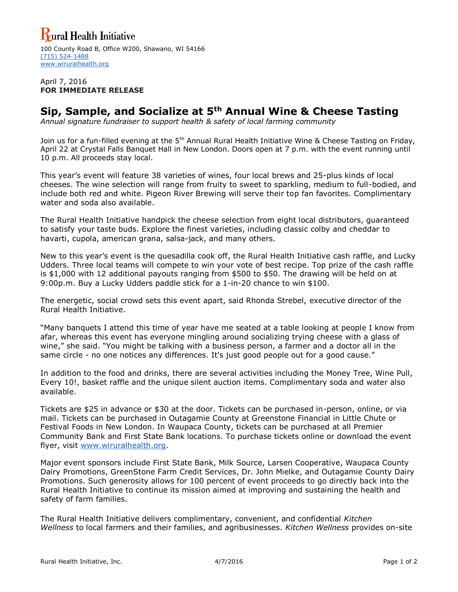## **Yural Health Initiative**

100 County Road B, Office W200, Shawano, WI 54166 [\(715\) 524-1488](tel:%28715%29%20524-1488) [www.wiruralhealth.org](http://www.wiruralhealth.org/)

April 7, 2016 **FOR IMMEDIATE RELEASE**

## **Sip, Sample, and Socialize at 5th Annual Wine & Cheese Tasting**

*Annual signature fundraiser to support health & safety of local farming community*

Join us for a fun-filled evening at the 5<sup>th</sup> Annual Rural Health Initiative Wine & Cheese Tasting on Friday, April 22 at Crystal Falls Banquet Hall in New London. Doors open at 7 p.m. with the event running until 10 p.m. All proceeds stay local.

This year's event will feature 38 varieties of wines, four local brews and 25-plus kinds of local cheeses. The wine selection will range from fruity to sweet to sparkling, medium to full-bodied, and include both red and white. Pigeon River Brewing will serve their top fan favorites. Complimentary water and soda also available.

The Rural Health Initiative handpick the cheese selection from eight local distributors, guaranteed to satisfy your taste buds. Explore the finest varieties, including classic colby and cheddar to havarti, cupola, american grana, salsa-jack, and many others.

New to this year's event is the quesadilla cook off, the Rural Health Initiative cash raffle, and Lucky Udders. Three local teams will compete to win your vote of best recipe. Top prize of the cash raffle is \$1,000 with 12 additional payouts ranging from \$500 to \$50. The drawing will be held on at 9:00p.m. Buy a Lucky Udders paddle stick for a 1-in-20 chance to win \$100.

The energetic, social crowd sets this event apart, said Rhonda Strebel, executive director of the Rural Health Initiative.

"Many banquets I attend this time of year have me seated at a table looking at people I know from afar, whereas this event has everyone mingling around socializing trying cheese with a glass of wine," she said. "You might be talking with a business person, a farmer and a doctor all in the same circle - no one notices any differences. It's just good people out for a good cause."

In addition to the food and drinks, there are several activities including the Money Tree, Wine Pull, Every 10!, basket raffle and the unique silent auction items. Complimentary soda and water also available.

Tickets are \$25 in advance or \$30 at the door. Tickets can be purchased in-person, online, or via mail. Tickets can be purchased in Outagamie County at Greenstone Financial in Little Chute or Festival Foods in New London. In Waupaca County, tickets can be purchased at all Premier Community Bank and First State Bank locations. To purchase tickets online or download the event flyer, visit [www.wiruralhealth.org.](http://www.wiruralhealth.org/)

Major event sponsors include First State Bank, Milk Source, Larsen Cooperative, Waupaca County Dairy Promotions, GreenStone Farm Credit Services, Dr. John Mielke, and Outagamie County Dairy Promotions. Such generosity allows for 100 percent of event proceeds to go directly back into the Rural Health Initiative to continue its mission aimed at improving and sustaining the health and safety of farm families.

The Rural Health Initiative delivers complimentary, convenient, and confidential *Kitchen Wellness* to local farmers and their families, and agribusinesses. *Kitchen Wellness* provides on-site